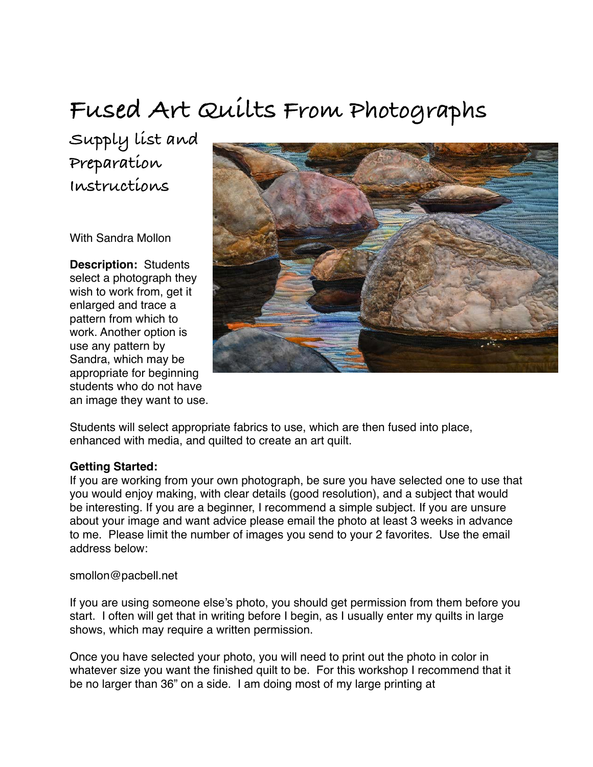# **Fused Art Quilts From Photographs**

**Supply list and Preparation Instructions**

With Sandra Mollon

**Description:** Students select a photograph they wish to work from, get it enlarged and trace a pattern from which to work. Another option is use any pattern by Sandra, which may be appropriate for beginning students who do not have an image they want to use.



Students will select appropriate fabrics to use, which are then fused into place, enhanced with media, and quilted to create an art quilt.

#### **Getting Started:**

If you are working from your own photograph, be sure you have selected one to use that you would enjoy making, with clear details (good resolution), and a subject that would be interesting. If you are a beginner, I recommend a simple subject. If you are unsure about your image and want advice please email the photo at least 3 weeks in advance to me. Please limit the number of images you send to your 2 favorites. Use the email address below:

#### smollon@pacbell.net

If you are using someone else's photo, you should get permission from them before you start. I often will get that in writing before I begin, as I usually enter my quilts in large shows, which may require a written permission.

Once you have selected your photo, you will need to print out the photo in color in whatever size you want the finished quilt to be. For this workshop I recommend that it be no larger than 36" on a side. I am doing most of my large printing at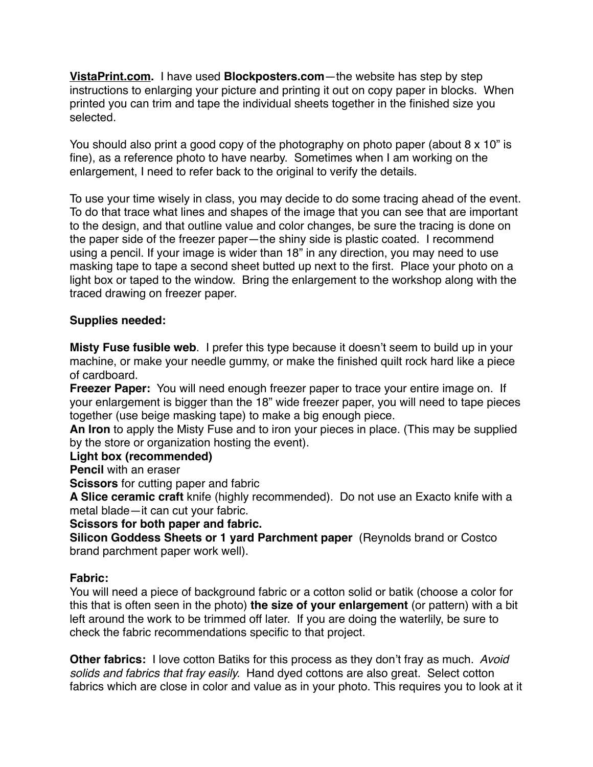**[VistaPrint.com.](http://VistaPrint.com)** I have used **Blockposters.com**—the website has step by step instructions to enlarging your picture and printing it out on copy paper in blocks. When printed you can trim and tape the individual sheets together in the finished size you selected.

You should also print a good copy of the photography on photo paper (about 8 x 10" is fine), as a reference photo to have nearby. Sometimes when I am working on the enlargement, I need to refer back to the original to verify the details.

To use your time wisely in class, you may decide to do some tracing ahead of the event. To do that trace what lines and shapes of the image that you can see that are important to the design, and that outline value and color changes, be sure the tracing is done on the paper side of the freezer paper—the shiny side is plastic coated. I recommend using a pencil. If your image is wider than 18" in any direction, you may need to use masking tape to tape a second sheet butted up next to the first. Place your photo on a light box or taped to the window. Bring the enlargement to the workshop along with the traced drawing on freezer paper.

## **Supplies needed:**

**Misty Fuse fusible web**. I prefer this type because it doesn't seem to build up in your machine, or make your needle gummy, or make the finished quilt rock hard like a piece of cardboard.

**Freezer Paper:** You will need enough freezer paper to trace your entire image on. If your enlargement is bigger than the 18" wide freezer paper, you will need to tape pieces together (use beige masking tape) to make a big enough piece.

**An Iron** to apply the Misty Fuse and to iron your pieces in place. (This may be supplied by the store or organization hosting the event).

#### **Light box (recommended)**

**Pencil** with an eraser

**Scissors** for cutting paper and fabric

**A Slice ceramic craft** knife (highly recommended). Do not use an Exacto knife with a metal blade—it can cut your fabric.

**Scissors for both paper and fabric.** 

**Silicon Goddess Sheets or 1 yard Parchment paper** (Reynolds brand or Costco brand parchment paper work well).

## **Fabric:**

You will need a piece of background fabric or a cotton solid or batik (choose a color for this that is often seen in the photo) **the size of your enlargement** (or pattern) with a bit left around the work to be trimmed off later. If you are doing the waterlily, be sure to check the fabric recommendations specific to that project.

**Other fabrics:** I love cotton Batiks for this process as they don't fray as much. *Avoid solids and fabrics that fray easily.* Hand dyed cottons are also great. Select cotton fabrics which are close in color and value as in your photo. This requires you to look at it